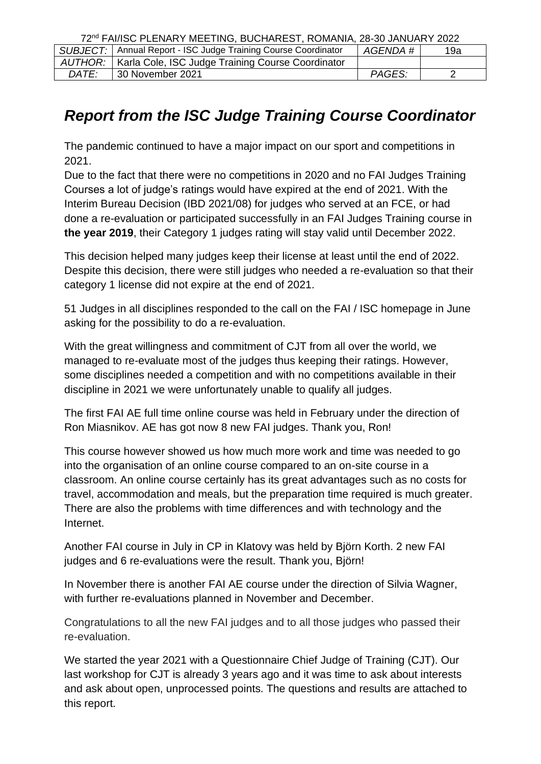72nd FAI/ISC PLENARY MEETING, BUCHAREST, ROMANIA, 28-30 JANUARY 2022

|       | SUBJECT:   Annual Report - ISC Judge Training Course Coordinator | AGENDA# | 19a |  |
|-------|------------------------------------------------------------------|---------|-----|--|
|       | AUTHOR:   Karla Cole, ISC Judge Training Course Coordinator      |         |     |  |
| DATE: | 30 November 2021                                                 | PAGES:  |     |  |

## *Report from the ISC Judge Training Course Coordinator*

The pandemic continued to have a major impact on our sport and competitions in 2021.

Due to the fact that there were no competitions in 2020 and no FAI Judges Training Courses a lot of judge's ratings would have expired at the end of 2021. With the Interim Bureau Decision (IBD 2021/08) for judges who served at an FCE, or had done a re-evaluation or participated successfully in an FAI Judges Training course in **the year 2019**, their Category 1 judges rating will stay valid until December 2022.

This decision helped many judges keep their license at least until the end of 2022. Despite this decision, there were still judges who needed a re-evaluation so that their category 1 license did not expire at the end of 2021.

51 Judges in all disciplines responded to the call on the FAI / ISC homepage in June asking for the possibility to do a re-evaluation.

With the great willingness and commitment of CJT from all over the world, we managed to re-evaluate most of the judges thus keeping their ratings. However, some disciplines needed a competition and with no competitions available in their discipline in 2021 we were unfortunately unable to qualify all judges.

The first FAI AE full time online course was held in February under the direction of Ron Miasnikov. AE has got now 8 new FAI judges. Thank you, Ron!

This course however showed us how much more work and time was needed to go into the organisation of an online course compared to an on-site course in a classroom. An online course certainly has its great advantages such as no costs for travel, accommodation and meals, but the preparation time required is much greater. There are also the problems with time differences and with technology and the Internet.

Another FAI course in July in CP in Klatovy was held by Björn Korth. 2 new FAI judges and 6 re-evaluations were the result. Thank you, Björn!

In November there is another FAI AE course under the direction of Silvia Wagner, with further re-evaluations planned in November and December.

Congratulations to all the new FAI judges and to all those judges who passed their re-evaluation.

We started the year 2021 with a Questionnaire Chief Judge of Training (CJT). Our last workshop for CJT is already 3 years ago and it was time to ask about interests and ask about open, unprocessed points. The questions and results are attached to this report.